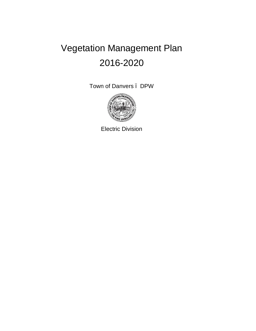# Vegetation Management Plan 2016-2020

Town of Danvers – DPW



Electric Division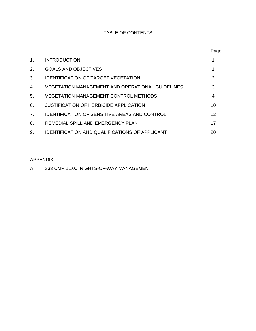# TABLE OF CONTENTS

|    |                                                         | Page |
|----|---------------------------------------------------------|------|
| 1. | <b>INTRODUCTION</b>                                     |      |
| 2. | <b>GOALS AND OBJECTIVES</b>                             |      |
| 3. | <b>IDENTIFICATION OF TARGET VEGETATION</b>              | 2    |
| 4. | <b>VEGETATION MANAGEMENT AND OPERATIONAL GUIDELINES</b> | 3    |
| 5. | <b>VEGETATION MANAGEMENT CONTROL METHODS</b>            | 4    |
| 6. | JUSTIFICATION OF HERBICIDE APPLICATION                  | 10   |
| 7. | <b>IDENTIFICATION OF SENSITIVE AREAS AND CONTROL</b>    | 12   |
| 8. | REMEDIAL SPILL AND EMERGENCY PLAN                       | 17   |
| 9. | <b>IDENTIFICATION AND QUALIFICATIONS OF APPLICANT</b>   | 20   |

#### APPENDIX

A. 333 CMR 11.00: RIGHTS-OF-WAY MANAGEMENT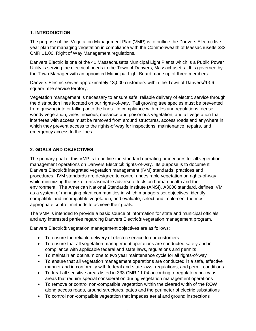#### **1. INTRODUCTION**

The purpose of this Vegetation Management Plan (VMP) is to outline the Danvers Electric five year plan for managing vegetation in compliance with the Commonwealth of Massachusetts 333 CMR 11.00, Right of Way Management regulations.

Danvers Electric is one of the 41 Massachusetts Municipal Light Plants which is a Public Power Utility is serving the electrical needs to the Town of Danvers, Massachusetts. It is governed by the Town Manager with an appointed Municipal Light Board made up of three members.

Danvers Electric serves approximately 13,000 customers within the Town of Danversq13.6 square mile service territory.

Vegetation management is necessary to ensure safe, reliable delivery of electric service through the distribution lines located on our rights-of-way. Tall growing tree species must be prevented from growing into or falling onto the lines. In compliance with rules and regulations, dense woody vegetation, vines, noxious, nuisance and poisonous vegetation, and all vegetation that interferes with access must be removed from around structures, access roads and anywhere in which they prevent access to the rights-of-way for inspections, maintenance, repairs, and emergency access to the lines.

## **2. GOALS AND OBJECTIVES**

The primary goal of this VMP is to outline the standard operating procedures for all vegetation management operations on Danvers Electric of rights-of-way. Its purpose is to document Danvers Electric integrated vegetation management (IVM) standards, practices and procedures. IVM standards are designed to control undesirable vegetation on rights-of-way while minimizing the risk of unreasonable adverse effects on human health and the environment. The American National Standards Institute (ANSI), A3000 standard, defines IVM as a system of managing plant communities in which managers set objectives, identify compatible and incompatible vegetation, and evaluate, select and implement the most appropriate control methods to achieve their goals.

The VMP is intended to provide a basic source of information for state and municipal officials and any interested parties regarding Danvers Electricos vegetation management program.

Danvers Electricos vegetation management objectives are as follows:

- · To ensure the reliable delivery of electric service to our customers
- · To ensure that all vegetation management operations are conducted safely and in compliance with applicable federal and state laws, regulations and permits
- · To maintain an optimum one to two year maintenance cycle for all rights-of-way
- · To ensure that all vegetation management operations are conducted in a safe, effective manner and in conformity with federal and state laws, regulations, and permit conditions
- · To treat all sensitive areas listed in 333 CMR 11.04 according to regulatory policy as areas that require special consideration during vegetation management operations
- · To remove or control non-compatible vegetation within the cleared width of the ROW , along access roads, around structures, gates and the perimeter of electric substations
- · To control non-compatible vegetation that impedes aerial and ground inspections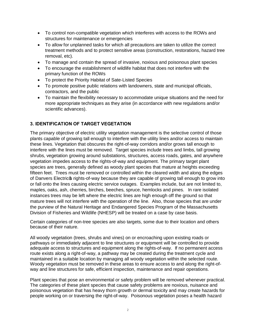- · To control non-compatible vegetation which interferes with access to the ROWs and structures for maintenance or emergencies
- · To allow for unplanned tasks for which all precautions are taken to utilize the correct treatment methods and to protect sensitive areas (construction, restorations, hazard tree removal, etc).
- · To manage and contain the spread of invasive, noxious and poisonous plant species
- · To encourage the establishment of wildlife habitat that does not interfere with the primary function of the ROWs
- · To protect the Priority Habitat of Sate-Listed Species
- · To promote positive public relations with landowners, state and municipal officials, contractors, and the public
- · To maintain the flexibility necessary to accommodate unique situations and the need for more appropriate techniques as they arise (in accordance with new regulations and/or scientific advances).

## **3. IDENTIFICATION OF TARGET VEGETATION**

The primary objective of electric utility vegetation management is the selective control of those plants capable of growing tall enough to interfere with the utility lines and/or access to maintain these lines. Vegetation that obscures the right-of-way corridors and/or grows tall enough to interfere with the lines must be removed. Target species include trees and limbs, tall growing shrubs, vegetation growing around substations, structures, access roads, gates, and anywhere vegetation impedes access to the rights-of-way and equipment. The primary target plant species are trees, generally defined as woody plant species that mature at heights exceeding fifteen feet. Trees must be removed or controlled within the cleared width and along the edges of Danvers Electric tights-of-way because they are capable of growing tall enough to grow into or fall onto the lines causing electric service outages. Examples include, but are not limited to, maples, oaks, ash, cherries, birches, beeches, spruce, hemlocks and pines. In rare isolated instances trees may be left where the electric lines are high enough off the ground so that mature trees will not interfere with the operation of the line. Also, those species that are under the purview of the Natural Heritage and Endangered Species Program of the Massachusetts Division of Fisheries and Wildlife (NHESP) will be treated on a case by case basis.

Certain categories of non-tree species are also targets, some due to their location and others because of their nature.

All woody vegetation (trees, shrubs and vines) on or encroaching upon existing roads or pathways or immediately adjacent to line structures or equipment will be controlled to provide adequate access to structures and equipment along the rights-of-way. If no permanent access route exists along a right-of-way, a pathway may be created during the treatment cycle and maintained in a suitable location by managing all woody vegetation within the selected route. Woody vegetation must be removed in these areas to ensure access to and along the right-ofway and line structures for safe, efficient inspection, maintenance and repair operations.

Plant species that pose an environmental or safety problem will be removed whenever practical. The categories of these plant species that cause safety problems are noxious, nuisance and poisonous vegetation that has heavy thorn growth or dermal toxicity and may create hazards for people working on or traversing the right-of-way. Poisonous vegetation poses a health hazard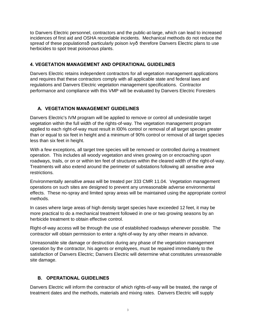to Danvers Electric personnel, contractors and the public-at-large, which can lead to increased incidences of first aid and OSHA recordable incidents. Mechanical methods do not reduce the spread of these populations particularly poison ivy therefore Danvers Electric plans to use herbicides to spot treat poisonous plants.

## **4. VEGETATION MANAGEMENT AND OPERATIONAL GUIDELINES**

Danvers Electric retains independent contractors for all vegetation management applications and requires that these contractors comply with all applicable state and federal laws and regulations and Danvers Electric vegetation management specifications. Contractor performance and compliance with this VMP will be evaluated by Danvers Electric Foresters

# **A. VEGETATION MANAGEMENT GUIDELINES**

Danvers Electric's IVM program will be applied to remove or control all undesirable target vegetation within the full width of the rights-of-way. The vegetation management program applied to each right-of-way must result in l00% control or removal of all target species greater than or equal to six feet in height and a minimum of 90% control or removal of all target species less than six feet in height.

With a few exceptions, all target tree species will be removed or controlled during a treatment operation. This includes all woody vegetation and vines growing on or encroaching upon roadways, trails, or on or within ten feet of structures within the cleared width of the right-of-way. Treatments will also extend around the perimeter of substations following all *sensitive area* restrictions.

Environmentally *sensitive areas* will be treated per 333 CMR 11.04. Vegetation management operations on such sites are designed to prevent any unreasonable adverse environmental effects. These no-spray and limited spray areas will be maintained using the appropriate control methods.

In cases where large areas of high density target species have exceeded 12 feet, it may be more practical to do a mechanical treatment followed in one or two growing seasons by an herbicide treatment to obtain effective control.

Right-of-way access will be through the use of established roadways whenever possible. The contractor will obtain permission to enter a right-of-way by any other means in advance.

Unreasonable site damage or destruction during any phase of the vegetation management operation by the contractor, his agents or employees, must be repaired immediately to the satisfaction of Danvers Electric; Danvers Electric will determine what constitutes unreasonable site damage.

#### **B. OPERATIONAL GUIDELINES**

Danvers Electric will inform the contractor of which rights-of-way will be treated, the range of treatment dates and the methods, materials and mixing rates. Danvers Electric will supply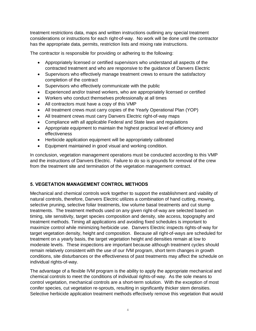treatment restrictions data, maps and written instructions outlining any special treatment considerations or instructions for each right-of-way. No work will be done until the contractor has the appropriate data, permits, restriction lists and mixing rate instructions.

The contractor is responsible for providing or adhering to the following:

- · Appropriately licensed or certified supervisors who understand all aspects of the contracted treatment and who are responsive to the guidance of Danvers Electric
- · Supervisors who effectively manage treatment crews to ensure the satisfactory completion of the contract
- · Supervisors who effectively communicate with the public
- · Experienced and/or trained workers, who are appropriately licensed or certified
- · Workers who conduct themselves professionally at all times
- · All contractors must have a copy of this VMP
- All treatment crews must carry copies of the Yearly Operational Plan (YOP)
- All treatment crews must carry Danvers Electric right-of-way maps
- · Compliance with all applicable Federal and State laws and regulations
- · Appropriate equipment to maintain the highest practical level of efficiency and effectiveness
- · Herbicide application equipment will be appropriately calibrated
- · Equipment maintained in good visual and working condition.

In conclusion, vegetation management operations must be conducted according to this VMP and the instructions of Danvers Electric. Failure to do so is grounds for removal of the crew from the treatment site and termination of the vegetation management contract.

# **5. VEGETATION MANAGEMENT CONTROL METHODS**

Mechanical and chemical controls work together to support the establishment and viability of natural controls, therefore, Danvers Electric utilizes a combination of hand cutting, mowing, selective pruning, selective foliar treatments, low volume basal treatments and cut stump treatments. The treatment methods used on any given right-of-way are selected based on timing, site sensitivity, target species composition and density, site access, topography and treatment methods. Timing all applications and avoiding fixed schedules is important to maximize control while minimizing herbicide use. Danvers Electric inspects rights-of-way for target vegetation density, height and composition. Because all right-of-ways are scheduled for treatment on a yearly basis, the target vegetation height and densities remain at low to moderate levels. These inspections are important because although treatment cycles should remain relatively consistent with the use of our IVM program, short term changes in growth conditions, site disturbances or the effectiveness of past treatments may affect the schedule on individual rights-of-way.

The advantage of a flexible IVM program is the ability to apply the appropriate mechanical and chemical controls to meet the conditions of individual rights-of-way. As the sole means to control vegetation, mechanical controls are a short-term solution. With the exception of most conifer species, cut vegetation re-sprouts, resulting in significantly thicker stem densities. Selective herbicide application treatment methods effectively remove this vegetation that would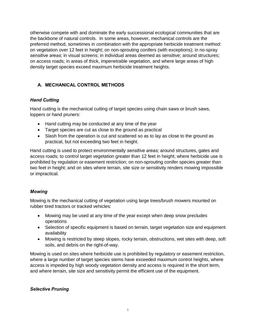otherwise compete with and dominate the early successional ecological communities that are the backbone of natural controls. In some areas, however, mechanical controls are the preferred method, sometimes in combination with the appropriate herbicide treatment method: on vegetation over 12 feet in height; on non-sprouting conifers (with exceptions); in no-spray *sensitive areas*; in visual screens; in individual areas deemed as sensitive; around structures; on access roads; in areas of thick, impenetrable vegetation, and where large areas of high density target species exceed maximum herbicide treatment heights.

# **A. MECHANICAL CONTROL METHODS**

## *Hand Cutting*

Hand cutting is the mechanical cutting of target species using chain saws or brush saws, loppers or hand pruners:

- · Hand cutting may be conducted at any time of the year
- · Target species are cut as close to the ground as practical
- Slash from the operation is cut and scattered so as to lay as close to the ground as practical, but not exceeding two feet in height.

Hand cutting is used to protect environmentally *sensitive areas;* around structures, gates and access roads; to control target vegetation greater than 12 feet in height; where herbicide use is prohibited by regulation or easement restriction; on non-sprouting conifer species greater than two feet in height; and on sites where terrain, site size or sensitivity renders mowing impossible or impractical.

#### *Mowing*

Mowing is the mechanical cutting of vegetation using large trees/brush mowers mounted on rubber tired tractors or tracked vehicles:

- · Mowing may be used at any time of the year except when deep snow precludes operations
- · Selection of specific equipment is based on terrain, target vegetation size and equipment availability
- · Mowing is restricted by steep slopes, rocky terrain, obstructions, wet sites with deep, soft soils, and debris on the right-of-way.

Mowing is used on sites where herbicide use is prohibited by regulatory or easement restriction, where a large number of target species stems have exceeded maximum control heights, where access is impeded by high woody vegetation density and access is required in the short term, and where terrain, site size and sensitivity permit the efficient use of the equipment.

#### *Selective Pruning*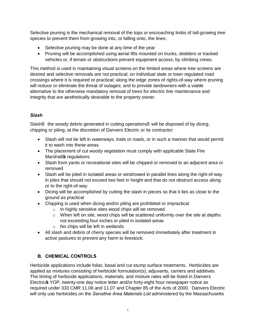Selective pruning is the mechanical removal of the tops or encroaching limbs of tall-growing tree species to prevent them from growing into, or falling onto, the lines:

- Selective pruning may be done at any time of the year
- · Pruning will be accomplished using aerial lifts mounted on trucks, skidders or tracked vehicles or, if terrain or obstructions prevent equipment access, by climbing crews.

This method is used in maintaining visual screens on the limited areas where tree screens are desired and selective removals are not practical; on individual state or town regulated road crossings where it is required or practical; along the edge zones of rights-of-way where pruning will reduce or eliminate the threat of outages; and to provide landowners with a viable alternative to the otherwise mandatory removal of trees for electric line maintenance and integrity that are aesthetically desirable to the property owner.

## *Slash*

Slash- the woody debris generated in cutting operations- will be disposed of by dicing, chipping or piling, at the discretion of Danvers Electric or its contractor:

- · Slash will not be left in waterways, trails or roads, or in such a manner that would permit it to wash into these areas
- The placement of cut woody vegetation must comply with applicable State Fire Marshallos regulations
- · Slash from yards or recreational sites will be chipped or removed to an adjacent area or removed
- · Slash will be piled in isolated areas or windrowed in parallel lines along the right-of-way in piles that should not exceed two feet in height and that do not obstruct access along or to the right-of-way
- · Dicing will be accomplished by cutting the slash in pieces so that it lies as close to the ground as practical
- Chipping is used when dicing and/or piling are prohibited or impractical
	- o In highly sensitive sites wood chips will be removed
	- $\circ$  When left on site, wood chips will be scattered uniformly over the site at depths not exceeding four inches or piled in isolated areas
	- o No chips will be left in wetlands
- · All slash and debris of cherry species will be removed immediately after treatment in active pastures to prevent any harm to livestock.

# **B. CHEMICAL CONTROLS**

Herbicide applications include foliar, basal and cut stump surface treatments. Herbicides are applied as mixtures consisting of herbicide formulation(s), adjuvants, carriers and additives. The timing of herbicide applications, materials, and mixture rates will be listed in Danvers Electricos YOP, twenty-one day notice letter and/or forty-eight hour newspaper notice as required under 333 CMR 11.06 and 11.07 and Chapter 85 of the Acts of 2000. Danvers Electric will only use herbicides on the *Sensitive Area Materials List* administered by the Massachusetts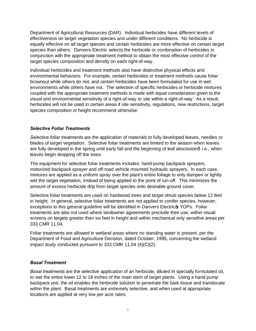Department of Agricultural Resources (DAR). Individual herbicides have different levels of effectiveness on target vegetation species and under different conditions. No herbicide is equally effective on all target species and certain herbicides are more effective on certain target species than others. Danvers Electric selects the herbicide or combination of herbicides in conjunction with the appropriate treatment method to obtain the most effective control of the target species composition and density on each right-of-way.

Individual herbicides and treatment methods also have distinctive physical effects and environmental behaviors. For example, certain herbicides or treatment methods cause foliar brownout while others do not, and certain herbicides have been formulated for use in wet environments while others have not. The selection of specific herbicides or herbicide mixtures coupled with the appropriate treatment methods is made with equal consideration given to the visual and environmental sensitivity of a right-of-way or site within a right-of-way. As a result, herbicides will not be used in certain areas if site sensitivity, regulations, new restrictions, target species composition or height recommend otherwise.

#### *Selective Foliar Treatments*

*Selective foliar treatments* are the application of materials to fully developed leaves, needles or blades of target vegetation. Selective foliar treatments are limited to the season when leaves are fully developed in the spring until early fall and the beginning of leaf abscission $\cdot$  i.e., when leaves begin dropping off the trees.

The equipment for selective foliar treatments includes: hand-pump backpack sprayers, motorized backpack sprayer and off-road vehicle mounted hydraulic sprayers. In each case, mixtures are applied as a uniform spray over the plant's entire foliage to only dampen or lightly wet the target vegetation, instead of being applied to the point of run-off. This minimizes the amount of excess herbicide drip from target species onto desirable ground cover.

Selective foliar treatments are used on hardwood trees and target shrub species below 12 feet in height. In general, selective foliar treatments are not applied to conifer species, however, exceptions to this general guideline will be identified in Danvers Electricos YOPs. Foliar treatments are also not used where landowner agreements preclude their use, within visual screens on targets greater than six feet in height and within mechanical only *sensitive areas* per 333 CMR 11.04.

Foliar treatments are allowed in wetland areas where no standing water is present, per the Department of Food and Agriculture Decision, dated October, 1995, concerning the wetland impact study conducted pursuant to 333 CMR 11.04 (4)(C)(2).

#### *Basal Treatment*

*Basal treatments* are the selective application of an herbicide, diluted in specially formulated oil, to wet the entire lower 12 to 18 inches of the main stem of target plants. Using a hand pump backpack unit, the oil enables the herbicide solution to penetrate the bark tissue and translocate within the plant. Basal treatments are extremely selective, and when used at appropriate locations are applied at very low per acre rates: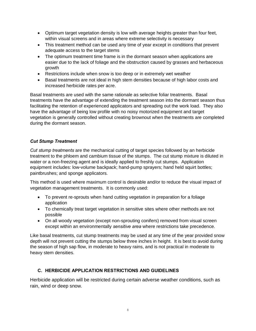- · Optimum target vegetation density is low with average heights greater than four feet, within visual screens and in areas where extreme selectivity is necessary
- · This treatment method can be used any time of year except in conditions that prevent adequate access to the target stems
- · The optimum treatment time frame is in the dormant season when applications are easier due to the lack of foliage and the obstruction caused by grasses and herbaceous growth
- · Restrictions include when snow is too deep or in extremely wet weather
- · Basal treatments are not ideal in high stem densities because of high labor costs and increased herbicide rates per acre.

Basal treatments are used with the same rationale as selective foliar treatments. Basal treatments have the advantage of extending the treatment season into the dormant season thus facilitating the retention of experienced applicators and spreading out the work load. They also have the advantage of being low profile with no noisy motorized equipment and target vegetation is generally controlled without creating brownout when the treatments are completed during the dormant season.

#### *Cut Stump Treatment*

*Cut stump treatments* are the mechanical cutting of target species followed by an herbicide treatment to the phloem and cambium tissue of the stumps. The cut stump mixture is diluted in water or a non-freezing agent and is ideally applied to freshly cut stumps. Application equipment includes: low-volume backpack; hand-pump sprayers; hand held squirt bottles; paintbrushes; and sponge applicators.

This method is used where maximum control is desirable and/or to reduce the visual impact of vegetation management treatments. It is commonly used:

- · To prevent re-sprouts when hand cutting vegetation in preparation for a foliage application
- · To chemically treat target vegetation in sensitive sites where other methods are not possible
- · On all woody vegetation (except non-sprouting conifers) removed from visual screen except within an environmentally *sensitive area* where restrictions take precedence.

Like basal treatments, cut stump treatments may be used at any time of the year provided snow depth will not prevent cutting the stumps below three inches in height. It is best to avoid during the season of high sap flow, in moderate to heavy rains, and is not practical in moderate to heavy stem densities.

#### **C. HERBICIDE APPLICATION RESTRICTIONS AND GUIDELINES**

Herbicide application will be restricted during certain adverse weather conditions, such as rain, wind or deep snow.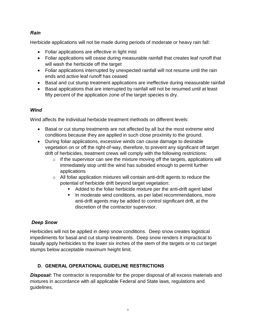# *Rain*

Herbicide applications will not be made during periods of moderate or heavy rain fall:

- Foliar applications are effective in light mist
- · Foliar applications will cease during measurable rainfall that creates leaf runoff that will wash the herbicide off the target
- Foliar applications interrupted by unexpected rainfall will not resume until the rain ends and active leaf runoff has ceased
- · Basal and cut stump treatment applications are ineffective during measurable rainfall
- · Basal applications that are interrupted by rainfall will not be resumed until at least fifty percent of the application zone of the target species is dry.

## *Wind*

Wind affects the individual herbicide treatment methods on different levels:

- · Basal or cut stump treatments are not affected by all but the most extreme wind conditions because they are applied in such close proximity to the ground.
- · During foliar applications, excessive winds can cause damage to desirable vegetation on or off the right-of-way, therefore, to prevent any significant off target drift of herbicides, treatment crews will comply with the following restrictions:
	- $\circ$  If the supervisor can see the mixture moving off the targets, applications will immediately stop until the wind has subsided enough to permit further applications
	- $\circ$  All foliar application mixtures will contain anti-drift agents to reduce the potential of herbicide drift beyond target vegetation:
		- ß Added to the foliar herbicide mixture per the anti-drift agent label
		- **IF In moderate wind conditions, as per label recommendations, more** anti-drift agents may be added to control significant drift, at the discretion of the contractor supervisor.

# *Deep Snow*

Herbicides will not be applied in deep snow conditions. Deep snow creates logistical impediments for basal and cut stump treatments. Deep snow renders it impractical to basally apply herbicides to the lower six inches of the stem of the targets or to cut target stumps below acceptable maximum height limit.

# **D. GENERAL OPERATIONAL GUIDELINE RESTRICTIONS**

**Disposal:** The contractor is responsible for the proper disposal of all excess materials and mixtures in accordance with all applicable Federal and State laws, regulations and guidelines.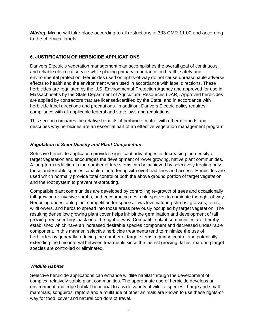*Mixing:* Mixing will take place according to all restrictions in 333 CMR 11.00 and according to the chemical labels.

## **6. JUSTIFICATION OF HERBICIDE APPLICATIONS**

Danvers Electric's vegetation management plan accomplishes the overall goal of continuous and reliable electrical service while placing primary importance on health, safety and environmental protection. Herbicides used on rights-of-way do not cause unreasonable adverse effects to health and the environment when used in accordance with label directions. These herbicides are regulated by the U.S. Environmental Protection Agency and approved for use in Massachusetts by the State Department of Agricultural Resources (DAR). Approved herbicides are applied by contractors that are licensed/certified by the State, and in accordance with herbicide label directions and precautions. In addition, Danvers Electric policy requires compliance with all applicable federal and state laws and regulations.

This section compares the relative benefits of herbicide control with other methods and describes why herbicides are an essential part of an effective vegetation management program.

## *Regulation of Stem Density and Plant Composition*

Selective herbicide application provides significant advantages in decreasing the density of target vegetation and encourages the development of lower growing, native plant communities. A long-term reduction in the number of tree stems can be achieved by selectively treating only those undesirable species capable of interfering with overhead lines and access. Herbicides are used which normally provide total control of both the above ground portion of target vegetation and the root system to prevent re-sprouting.

Compatible plant communities are developed by controlling re-growth of trees and occasionally tall-growing or invasive shrubs, and encouraging desirable species to dominate the right-of-way. Reducing undesirable plant competition for space allows low maturing shrubs, grasses, ferns, wildflowers, and herbs to spread into those areas previously occupied by target vegetation. The resulting dense low growing plant cover helps inhibit the germination and development of tall growing tree seedlings back onto the right-of-way. Compatible plant communities are thereby established which have an increased desirable species component and decreased undesirable component. In this manner, selective herbicide treatments tend to minimize the use of herbicides by generally reducing the number of target stems requiring control and potentially extending the time interval between treatments since the fastest growing, tallest maturing target species are controlled or eliminated.

#### *Wildlife Habitat*

Selective herbicide applications can enhance wildlife habitat through the development of complex, relatively stable plant communities. The appropriate use of herbicide develops an environment and edge habitat beneficial to a wide variety of wildlife species. Large and small mammals, songbirds, raptors and a multitude of other animals are known to use these rights-ofway for food, cover and natural corridors of travel.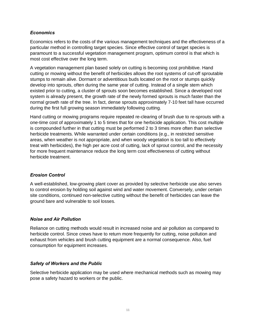#### *Economics*

Economics refers to the costs of the various management techniques and the effectiveness of a particular method in controlling target species. Since effective control of target species is paramount to a successful vegetation management program, optimum control is that which is most cost effective over the long term.

A vegetation management plan based solely on cutting is becoming cost prohibitive. Hand cutting or mowing without the benefit of herbicides allows the root systems of cut-off sproutable stumps to remain alive. Dormant or adventitious buds located on the root or stumps quickly develop into sprouts, often during the same year of cutting. Instead of a single stem which existed prior to cutting, a cluster of sprouts soon becomes established. Since a developed root system is already present, the growth rate of the newly formed sprouts is much faster than the normal growth rate of the tree. In fact, dense sprouts approximately 7-10 feet tall have occurred during the first full growing season immediately following cutting.

Hand cutting or mowing programs require repeated re-clearing of brush due to re-sprouts with a one-time cost of approximately 1 to 5 times that for one herbicide application. This cost multiple is compounded further in that cutting must be performed 2 to 3 times more often than selective herbicide treatments. While warranted under certain conditions (e.g., in restricted sensitive areas, when weather is not appropriate, and when woody vegetation is too tall to effectively treat with herbicides), the high per acre cost of cutting, lack of sprout control, and the necessity for more frequent maintenance reduce the long term cost effectiveness of cutting without herbicide treatment.

#### *Erosion Control*

A well-established, low-growing plant cover as provided by selective herbicide use also serves to control erosion by holding soil against wind and water movement. Conversely, under certain site conditions, continued non-selective cutting without the benefit of herbicides can leave the ground bare and vulnerable to soil losses.

#### *Noise and Air Pollution*

Reliance on cutting methods would result in increased noise and air pollution as compared to herbicide control. Since crews have to return more frequently for cutting, noise pollution and exhaust from vehicles and brush cutting equipment are a normal consequence. Also, fuel consumption for equipment increases.

#### *Safety of Workers and the Public*

Selective herbicide application may be used where mechanical methods such as mowing may pose a safety hazard to workers or the public.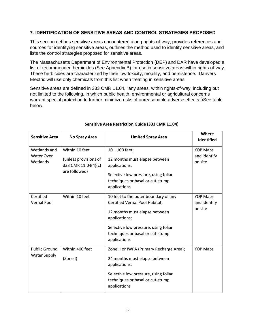#### **7. IDENTIFICATION OF SENSITIVE AREAS AND CONTROL STRATEGIES PROPOSED**

This section defines sensitive areas encountered along rights-of-way, provides references and sources for identifying sensitive areas, outlines the method used to identify sensitive areas, and lists the control strategies proposed for sensitive areas.

The Massachusetts Department of Environmental Protection (DEP) and DAR have developed a list of recommended herbicides (See Appendix B) for use in sensitive areas within rights-of-way. These herbicides are characterized by their low toxicity, mobility, and persistence. Danvers Electric will use only chemicals from this list when treating in sensitive areas.

Sensitive areas are defined in 333 CMR 11.04, "any areas, within rights-of-way, including but not limited to the following, in which public health, environmental or agricultural concerns warrant special protection to further minimize risks of unreasonable adverse effects.+See table below.

| <b>Sensitive Area</b>                       | No Spray Area                                                                   | <b>Limited Spray Area</b>                                                                                                                                                                                                   | Where<br>Identified                        |
|---------------------------------------------|---------------------------------------------------------------------------------|-----------------------------------------------------------------------------------------------------------------------------------------------------------------------------------------------------------------------------|--------------------------------------------|
| Wetlands and<br>Water Over<br>Wetlands      | Within 10 feet<br>(unless provisions of<br>333 CMR 11.04(4)(c)<br>are followed) | $10 - 100$ feet;<br>12 months must elapse between<br>applications;<br>Selective low pressure, using foliar<br>techniques or basal or cut-stump<br>applications                                                              | <b>YOP Maps</b><br>and identify<br>on site |
| Certified<br><b>Vernal Pool</b>             | Within 10 feet                                                                  | 10 feet to the outer boundary of any<br><b>Certified Vernal Pool Habitat;</b><br>12 months must elapse between<br>applications;<br>Selective low pressure, using foliar<br>techniques or basal or cut-stump<br>applications | <b>YOP Maps</b><br>and identify<br>on site |
| <b>Public Ground</b><br><b>Water Supply</b> | Within 400 feet<br>(Zone I)                                                     | Zone II or IWPA (Primary Recharge Area);<br>24 months must elapse between<br>applications;<br>Selective low pressure, using foliar<br>techniques or basal or cut-stump<br>applications                                      | <b>YOP Maps</b>                            |

#### **Sensitive Area Restriction Guide (333 CMR 11.04)**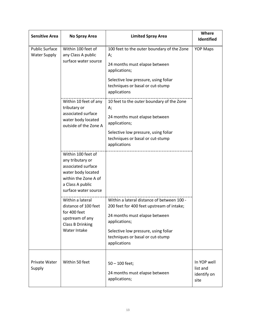| <b>Sensitive Area</b>                        | No Spray Area                                                                                                                                          | <b>Limited Spray Area</b>                                                                                                                                                                                                             | Where<br>Identified                            |
|----------------------------------------------|--------------------------------------------------------------------------------------------------------------------------------------------------------|---------------------------------------------------------------------------------------------------------------------------------------------------------------------------------------------------------------------------------------|------------------------------------------------|
| <b>Public Surface</b><br><b>Water Supply</b> | Within 100 feet of<br>any Class A public                                                                                                               | 100 feet to the outer boundary of the Zone<br>А;                                                                                                                                                                                      | <b>YOP Maps</b>                                |
|                                              | surface water source                                                                                                                                   | 24 months must elapse between<br>applications;                                                                                                                                                                                        |                                                |
|                                              |                                                                                                                                                        | Selective low pressure, using foliar<br>techniques or basal or cut-stump<br>applications                                                                                                                                              |                                                |
|                                              | Within 10 feet of any<br>tributary or<br>associated surface<br>water body located<br>outside of the Zone A                                             | 10 feet to the outer boundary of the Zone<br>А;                                                                                                                                                                                       |                                                |
|                                              |                                                                                                                                                        | 24 months must elapse between<br>applications;                                                                                                                                                                                        |                                                |
|                                              |                                                                                                                                                        | Selective low pressure, using foliar<br>techniques or basal or cut-stump<br>applications                                                                                                                                              |                                                |
|                                              | Within 100 feet of<br>any tributary or<br>associated surface<br>water body located<br>within the Zone A of<br>a Class A public<br>surface water source |                                                                                                                                                                                                                                       |                                                |
|                                              | Within a lateral<br>distance of 100 feet<br>for 400 feet<br>upstream of any<br><b>Class B Drinking</b><br>Water Intake                                 | Within a lateral distance of between 100 -<br>200 feet for 400 feet upstream of intake;<br>24 months must elapse between<br>applications;<br>Selective low pressure, using foliar<br>techniques or basal or cut-stump<br>applications |                                                |
| Private Water<br>Supply                      | Within 50 feet                                                                                                                                         | $50 - 100$ feet;<br>24 months must elapse between<br>applications;                                                                                                                                                                    | In YOP well<br>list and<br>identify on<br>site |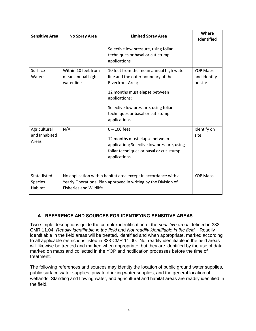| <b>Sensitive Area</b>                     | No Spray Area                                          | <b>Limited Spray Area</b>                                                                                                                                                                                                                              | Where<br>Identified                        |
|-------------------------------------------|--------------------------------------------------------|--------------------------------------------------------------------------------------------------------------------------------------------------------------------------------------------------------------------------------------------------------|--------------------------------------------|
|                                           |                                                        | Selective low pressure, using foliar<br>techniques or basal or cut-stump<br>applications                                                                                                                                                               |                                            |
| Surface<br>Waters                         | Within 10 feet from<br>mean annual high-<br>water line | 10 feet from the mean annual high water<br>line and the outer boundary of the<br><b>Riverfront Area;</b><br>12 months must elapse between<br>applications;<br>Selective low pressure, using foliar<br>techniques or basal or cut-stump<br>applications | <b>YOP Maps</b><br>and identify<br>on site |
| Agricultural<br>and Inhabited<br>Areas    | N/A                                                    | $0 - 100$ feet<br>12 months must elapse between<br>application; Selective low pressure, using<br>foliar techniques or basal or cut-stump<br>applications.                                                                                              | Identify on<br>site                        |
| State-listed<br><b>Species</b><br>Habitat | <b>Fisheries and Wildlife</b>                          | No application within habitat area except in accordance with a<br>Yearly Operational Plan approved in writing by the Division of                                                                                                                       | <b>YOP Maps</b>                            |

#### **A. REFERENCE AND SOURCES FOR IDENTIFYING SENSITIVE AREAS**

Two simple descriptions guide the complex identification of the *sensitive areas* defined in 333 CMR 11.04: *Readily identifiable in the field* and *Not readily identifiable in the field.* Readily identifiable in the field areas will be treated, identified and when appropriate, marked according to all applicable restrictions listed in 333 CMR 11.00. Not readily identifiable in the field areas will likewise be treated and marked when appropriate, but they are identified by the use of data marked on maps and collected in the YOP and notification processes before the time of treatment.

The following references and sources may identity the location of public ground water supplies, public surface water supplies, private drinking water supplies, and the general location of wetlands. Standing and flowing water, and agricultural and habitat areas are readily identified in the field.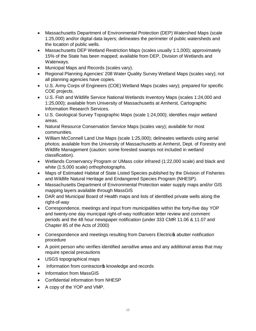- · Massachusetts Department of Environmental Protection (DEP) Watershed Maps (scale 1:25,000) and/or digital data layers; delineates the perimeter of public watersheds and the location of public wells.
- · Massachusetts DEP Wetland Restriction Maps (scales usually 1:1,000); approximately 15% of the State has been mapped; available from DEP, Division of Wetlands and Waterways.
- · Municipal Maps and Records (scales vary).
- · Regional Planning Agencies' 208 Water Quality Survey Wetland Maps (scales vary); not all planning agencies have copies.
- · U.S. Army Corps of Engineers (COE) Wetland Maps (scales vary); prepared for specific COE projects.
- · U.S. Fish and Wildlife Service National Wetlands Inventory Maps (scales 1:24,000 and 1:25,000); available from University of Massachusetts at Amherst, Cartographic Information Research Services.
- · U.S. Geological Survey Topographic Maps (scale 1:24,000); identifies major wetland areas.
- · Natural Resource Conservation Service Maps (scales vary); available for most communities.
- · William McConnell Land Use Maps (scale 1:25,000); delineates wetlands using aerial photos; available from the University of Massachusetts at Amherst, Dept. of Forestry and Wildlife Management (caution: some forested swamps not included in wetland classification).
- · Wetlands Conservancy Program or UMass color infrared (1:22,000 scale) and black and white (1:5,000 scale) orthophotographs.
- · Maps of Estimated Habitat of State Listed Species published by the Division of Fisheries and Wildlife Natural Heritage and Endangered Species Program (NHESP).
- · Massachusetts Department of Environmental Protection water supply maps and/or GIS mapping layers available through MassGIS
- · DAR and Municipal Board of Health maps and lists of identified private wells along the right-of-way
- · Correspondence, meetings and input from municipalities within the forty-five day YOP and twenty-one day municipal right-of-way notification letter review and comment periods and the 48 hour newspaper notification (under 333 CMR 11.06 & 11.07 and Chapter 85 of the Acts of 2000)
- Correspondence and meetings resulting from Danvers Electricos abutter notification procedure
- · A point person who verifies identified *sensitive areas* and any additional areas that may require special precautions
- · USGS topographical maps
- Information from contractor & knowledge and records
- Information from MassGIS
- · Confidential information from NHESP
- · A copy of the YOP and VMP.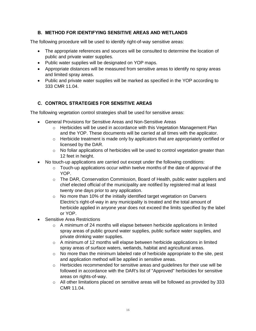## **B. METHOD FOR IDENTIFYING SENSITIVE AREAS AND WETLANDS**

The following procedure will be used to identify right-of-way sensitive areas:

- · The appropriate references and sources will be consulted to determine the location of public and private water supplies.
- · Public water supplies will be designated on YOP maps.
- · Appropriate distances will be measured from sensitive areas to identify no spray areas and limited spray areas.
- · Public and private water supplies will be marked as specified in the YOP according to 333 CMR 11.04.

## **C. CONTROL STRATEGIES FOR SENSITIVE AREAS**

The following vegetation control strategies shall be used for sensitive areas:

- · General Provisions for Sensitive Areas and Non-Sensitive Areas
	- $\circ$  Herbicides will be used in accordance with this Vegetation Management Plan and the YOP. These documents will be carried at all times with the applicator.
	- $\circ$  Herbicide treatment is made only by applicators that are appropriately certified or licensed by the DAR.
	- $\circ$  No foliar applications of herbicides will be used to control vegetation greater than 12 feet in height.
- · No touch-up applications are carried out except under the following conditions:
	- $\circ$  Touch-up applications occur within twelve months of the date of approval of the YOP.
	- o The DAR, Conservation Commission, Board of Health, public water suppliers and chief elected official of the municipality are notified by registered mail at least twenty one days prior to any application.
	- o No more than 10% of the initially identified target vegetation on Danvers Electric's right-of-way in any municipality is treated and the total amount of herbicide applied in anyone year does not exceed the limits specified by the label or YOP.
- · Sensitive Area Restrictions
	- o A minimum of 24 months will elapse between herbicide applications in limited spray areas of public ground water supplies, public surface water supplies, and private drinking water supplies.
	- $\circ$  A minimum of 12 months will elapse between herbicide applications in limited spray areas of surface waters, wetlands, habitat and agricultural areas.
	- $\circ$  No more than the minimum labeled rate of herbicide appropriate to the site, pest and application method will be applied in sensitive areas.
	- o Herbicides recommended for sensitive areas and guidelines for their use will be followed in accordance with the DAR's list of "Approved" herbicides for sensitive areas on rights-of-way.
	- $\circ$  All other limitations placed on sensitive areas will be followed as provided by 333 CMR 11.04.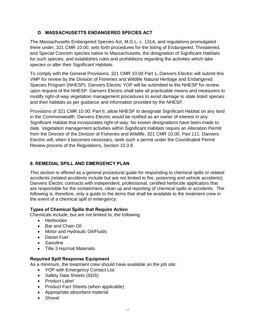## **D. MASSACHUSETTS ENDANGERED SPECIES ACT**

The Massachusetts Endangered Species Act, M.G.L. c. 131A, and regulations promulgated there under, 321 CMR 10.00, sets forth procedures for the listing of Endangered, Threatened, and Special Concern species native to Massachusetts, the designation of Significant Habitats for such species, and establishes rules and prohibitions regarding the activities which take species or alter their Significant Habitats.

To comply with the General Provisions, 321 CMR 10.00 Part 1, Danvers Electric will submit this VMP for review by the Division of Fisheries and Wildlife Natural Heritage and Endangered Species Program (NHESP). Danvers Electric YOP will be submitted to the NHESP for review upon request of the NHESP. Danvers Electric shall take all practicable means and measurers to modify right-of-way vegetation management procedures to avoid damage to state listed species and their habitats as per guidance and information provided by the NHESP.

Provisions of 321 CMR 10.00, Part II, allow NHESP to designate Significant Habitat on any land in the Commonwealth. Danvers Electric would be notified as an owner of interest in any Significant Habitat that incorporates right-of-way. No known designations have been made to date. Vegetation management activities within Significant Habitats require an Alteration Permit from the Director of the Division of Fisheries and Wildlife, 321 CMR 10.00, Part 111. Danvers Electric will, when it becomes necessary, seek such a permit under the Coordinated Permit Review process of the Regulations, Section 10.3 8.

## **8. REMEDIAL SPILL AND EMERGENCY PLAN**

This section is offered as a general procedural guide for responding to chemical spills or related accidents (related accidents include but are not limited to fire, poisoning and vehicle accidents). Danvers Electric contracts with independent, professional, certified herbicide applicators that are responsible for the containment, clean up and reporting of chemical spills or accidents. The following is, therefore, only a guide to the items that shall be available to the treatment crew in the event of a chemical spill or emergency:

#### **Types of Chemical Spills that Require Action**

Chemicals include, but are not limited to, the following:

- · Herbicides
- · Bar and Chain Oil
- · Motor and Hydraulic Oil/Fluids
- · Diesel Fuel
- · Gasoline
- · Title 3 Hazmat Materials.

#### **Required Spill Response Equipment**

As a minimum, the treatment crew should have available on the job site:

- · YOP with Emergency Contact List
- · Safety Data Sheets (SDS)
- · Product Label
- · Product Fact Sheets (when applicable)
- · Appropriate absorbent material
- · Shovel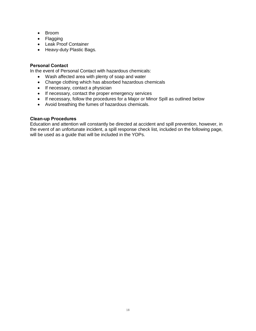- · Broom
- · Flagging
- · Leak Proof Container
- · Heavy-duty Plastic Bags.

#### **Personal Contact**

In the event of Personal Contact with hazardous chemicals:

- · Wash affected area with plenty of soap and water
- · Change clothing which has absorbed hazardous chemicals
- If necessary, contact a physician
- · If necessary, contact the proper emergency services
- · If necessary, follow the procedures for a Major or Minor Spill as outlined below
- · Avoid breathing the fumes of hazardous chemicals.

#### **Clean-up Procedures**

Education and attention will constantly be directed at accident and spill prevention, however, in the event of an unfortunate incident, a spill response check list, included on the following page, will be used as a guide that will be included in the YOPs.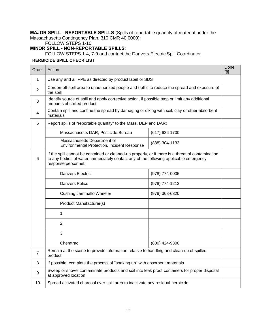**MAJOR SPILL - REPORTABLE SPILLS** (Spills of reportable quantity of material under the Massachusetts Contingency Plan, 310 CMR 40.0000):

## FOLLOW STEPS 1-10

**MINOR SPILL - NON-REPORTABLE SPILLS**:

FOLLOW STEPS 1-4, 7-9 and contact the Danvers Electric Spill Coordinator

#### **HERBICIDE SPILL CHECK LIST**

| Order | Action                                                                                                                                                                                                            |                | Done<br>[14 |
|-------|-------------------------------------------------------------------------------------------------------------------------------------------------------------------------------------------------------------------|----------------|-------------|
| 1     | Use any and all PPE as directed by product label or SDS                                                                                                                                                           |                |             |
| 2     | Cordon-off spill area to unauthorized people and traffic to reduce the spread and exposure of<br>the spill                                                                                                        |                |             |
| 3     | Identify source of spill and apply corrective action, if possible stop or limit any additional<br>amounts of spilled product                                                                                      |                |             |
| 4     | Contain spill and confine the spread by damaging or diking with soil, clay or other absorbent<br>materials.                                                                                                       |                |             |
| 5     | Report spills of "reportable quantity" to the Mass. DEP and DAR:                                                                                                                                                  |                |             |
|       | Massachusetts DAR, Pesticide Bureau                                                                                                                                                                               | (617) 626-1700 |             |
|       | Massachusetts Department of<br>Environmental Protection, Incident Response                                                                                                                                        | (888) 304-1133 |             |
| 6     | If the spill cannot be contained or cleaned-up properly, or if there is a threat of contamination<br>to any bodies of water, immediately contact any of the following applicable emergency<br>response personnel: |                |             |
|       | <b>Danvers Electric</b>                                                                                                                                                                                           | (978) 774-0005 |             |
|       | Danvers Police                                                                                                                                                                                                    | (978) 774-1213 |             |
|       | Cushing Jammallo Wheeler                                                                                                                                                                                          | (978) 368-6320 |             |
|       | Product Manufacturer(s)                                                                                                                                                                                           |                |             |
|       | 1                                                                                                                                                                                                                 |                |             |
|       | $\overline{2}$                                                                                                                                                                                                    |                |             |
|       | 3                                                                                                                                                                                                                 |                |             |
|       | Chemtrac                                                                                                                                                                                                          | (800) 424-9300 |             |
| 7     | Remain at the scene to provide information relative to handling and clean-up of spilled<br>product                                                                                                                |                |             |
| 8     | If possible, complete the process of "soaking up" with absorbent materials                                                                                                                                        |                |             |
| 9     | Sweep or shovel contaminate products and soil into leak proof containers for proper disposal<br>at approved location                                                                                              |                |             |
| 10    | Spread activated charcoal over spill area to inactivate any residual herbicide                                                                                                                                    |                |             |